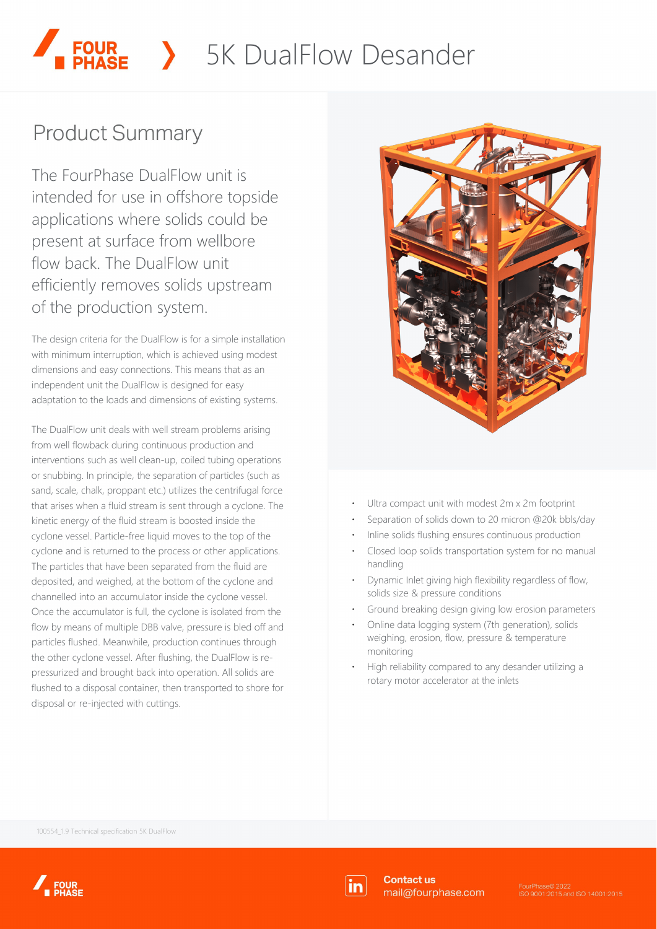# SK DualFlow Desander

# **Product Summary**

The FourPhase DualFlow unit is intended for use in offshore topside applications where solids could be present at surface from wellbore flow back. The DualFlow unit efficiently removes solids upstream of the production system.

The design criteria for the DualFlow is for a simple installation with minimum interruption, which is achieved using modest dimensions and easy connections. This means that as an independent unit the DualFlow is designed for easy adaptation to the loads and dimensions of existing systems.

The DualFlow unit deals with well stream problems arising from well flowback during continuous production and interventions such as well clean-up, coiled tubing operations or snubbing. In principle, the separation of particles (such as sand, scale, chalk, proppant etc.) utilizes the centrifugal force that arises when a fluid stream is sent through a cyclone. The kinetic energy of the fluid stream is boosted inside the cyclone vessel. Particle-free liquid moves to the top of the cyclone and is returned to the process or other applications. The particles that have been separated from the fluid are deposited, and weighed, at the bottom of the cyclone and channelled into an accumulator inside the cyclone vessel. Once the accumulator is full, the cyclone is isolated from the flow by means of multiple DBB valve, pressure is bled off and particles flushed. Meanwhile, production continues through the other cyclone vessel. After flushing, the DualFlow is repressurized and brought back into operation. All solids are flushed to a disposal container, then transported to shore for disposal or re-injected with cuttings.



- Ultra compact unit with modest 2m x 2m footprint
- ⋅ Separation of solids down to 20 micron @20k bbls/day
- Inline solids flushing ensures continuous production
- ⋅ Closed loop solids transportation system for no manual handling
- Dynamic Inlet giving high flexibility regardless of flow, solids size & pressure conditions
- Ground breaking design giving low erosion parameters
- Online data logging system (7th generation), solids weighing, erosion, flow, pressure & temperature monitoring
- ⋅ High reliability compared to any desander utilizing a rotary motor accelerator at the inlets